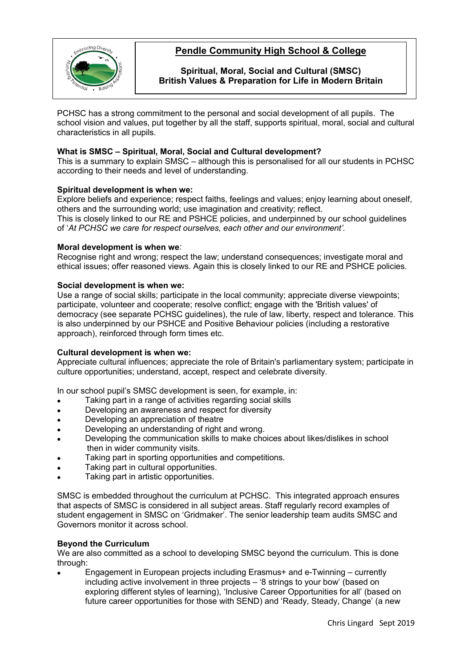

# **Pendle Community High School & College**

**Spiritual, Moral, Social and Cultural (SMSC) British Values & Preparation for Life in Modern Britain**

PCHSC has a strong commitment to the personal and social development of all pupils. The school vision and values, put together by all the staff, supports spiritual, moral, social and cultural characteristics in all pupils.

## **What is SMSC – Spiritual, Moral, Social and Cultural development?**

This is a summary to explain SMSC – although this is personalised for all our students in PCHSC according to their needs and level of understanding.

### **Spiritual development is when we:**

Explore beliefs and experience; respect faiths, feelings and values; enjoy learning about oneself, others and the surrounding world; use imagination and creativity; reflect. This is closely linked to our RE and PSHCE policies, and underpinned by our school guidelines of '*At PCHSC we care for respect ourselves, each other and our environment'.*

#### **Moral development is when we**:

Recognise right and wrong; respect the law; understand consequences; investigate moral and ethical issues; offer reasoned views. Again this is closely linked to our RE and PSHCE policies.

### **Social development is when we:**

Use a range of social skills; participate in the local community; appreciate diverse viewpoints; participate, volunteer and cooperate; resolve conflict; engage with the 'British values' of democracy (see separate PCHSC guidelines), the rule of law, liberty, respect and tolerance. This is also underpinned by our PSHCE and Positive Behaviour policies (including a restorative approach), reinforced through form times etc.

## **Cultural development is when we:**

Appreciate cultural influences; appreciate the role of Britain's parliamentary system; participate in culture opportunities; understand, accept, respect and celebrate diversity.

In our school pupil's SMSC development is seen, for example, in:

- Taking part in a range of activities regarding social skills
- Developing an awareness and respect for diversity
- Developing an appreciation of theatre
- Developing an understanding of right and wrong.
- Developing the communication skills to make choices about likes/dislikes in school then in wider community visits.
- Taking part in sporting opportunities and competitions.
- Taking part in cultural opportunities.
- Taking part in artistic opportunities.

SMSC is embedded throughout the curriculum at PCHSC. This integrated approach ensures that aspects of SMSC is considered in all subject areas. Staff regularly record examples of student engagement in SMSC on 'Gridmaker'. The senior leadership team audits SMSC and Governors monitor it across school.

#### **Beyond the Curriculum**

We are also committed as a school to developing SMSC beyond the curriculum. This is done through:

• Engagement in European projects including Erasmus+ and e-Twinning – currently including active involvement in three projects – '8 strings to your bow' (based on exploring different styles of learning), 'Inclusive Career Opportunities for all' (based on future career opportunities for those with SEND) and 'Ready, Steady, Change' (a new